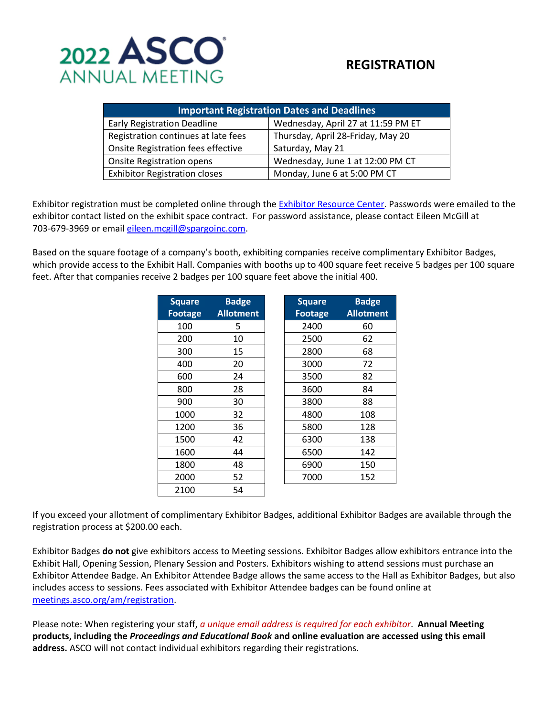

# **REGISTRATION**

| <b>Important Registration Dates and Deadlines</b> |                                    |  |  |  |
|---------------------------------------------------|------------------------------------|--|--|--|
| <b>Early Registration Deadline</b>                | Wednesday, April 27 at 11:59 PM ET |  |  |  |
| Registration continues at late fees               | Thursday, April 28-Friday, May 20  |  |  |  |
| Onsite Registration fees effective                | Saturday, May 21                   |  |  |  |
| <b>Onsite Registration opens</b>                  | Wednesday, June 1 at 12:00 PM CT   |  |  |  |
| <b>Exhibitor Registration closes</b>              | Monday, June 6 at 5:00 PM CT       |  |  |  |

Exhibitor registration must be completed online through the [Exhibitor Resource Center.](https://events.jspargo.com/ASCO22/Public/e_Login.aspx) Passwords were emailed to the exhibitor contact listed on the exhibit space contract. For password assistance, please contact Eileen McGill at 703-679-3969 or email [eileen.mcgill@spargoinc.com.](mailto:eileen.mcgill@spargoinc.com)

Based on the square footage of a company's booth, exhibiting companies receive complimentary Exhibitor Badges, which provide access to the Exhibit Hall. Companies with booths up to 400 square feet receive 5 badges per 100 square feet. After that companies receive 2 badges per 100 square feet above the initial 400.

| <b>Square</b>  | <b>Badge</b>     | <b>Square</b>  | <b>Badge</b>     |
|----------------|------------------|----------------|------------------|
| <b>Footage</b> | <b>Allotment</b> | <b>Footage</b> | <b>Allotment</b> |
| 100            | 5                | 2400           | 60               |
| 200            | 10               | 2500           | 62               |
| 300            | 15               | 2800           | 68               |
| 400            | 20               | 3000           | 72               |
| 600            | 24               | 3500           | 82               |
| 800            | 28               | 3600           | 84               |
| 900            | 30               | 3800           | 88               |
| 1000           | 32               | 4800           | 108              |
| 1200           | 36               | 5800           | 128              |
| 1500           | 42               | 6300           | 138              |
| 1600           | 44               | 6500           | 142              |
| 1800           | 48               | 6900           | 150              |
| 2000           | 52               | 7000           | 152              |
| 2100           | 54               |                |                  |

If you exceed your allotment of complimentary Exhibitor Badges, additional Exhibitor Badges are available through the registration process at \$200.00 each.

Exhibitor Badges **do not** give exhibitors access to Meeting sessions. Exhibitor Badges allow exhibitors entrance into the Exhibit Hall, Opening Session, Plenary Session and Posters. Exhibitors wishing to attend sessions must purchase an Exhibitor Attendee Badge. An Exhibitor Attendee Badge allows the same access to the Hall as Exhibitor Badges, but also includes access to sessions. Fees associated with Exhibitor Attendee badges can be found online at [meetings.asco.org/am/registration.](https://conferences.asco.org/am/registration)

Please note: When registering your staff, *a unique email address is required for each exhibitor*. **Annual Meeting products, including the** *Proceedings and Educational Book* **and online evaluation are accessed using this email address.** ASCO will not contact individual exhibitors regarding their registrations.